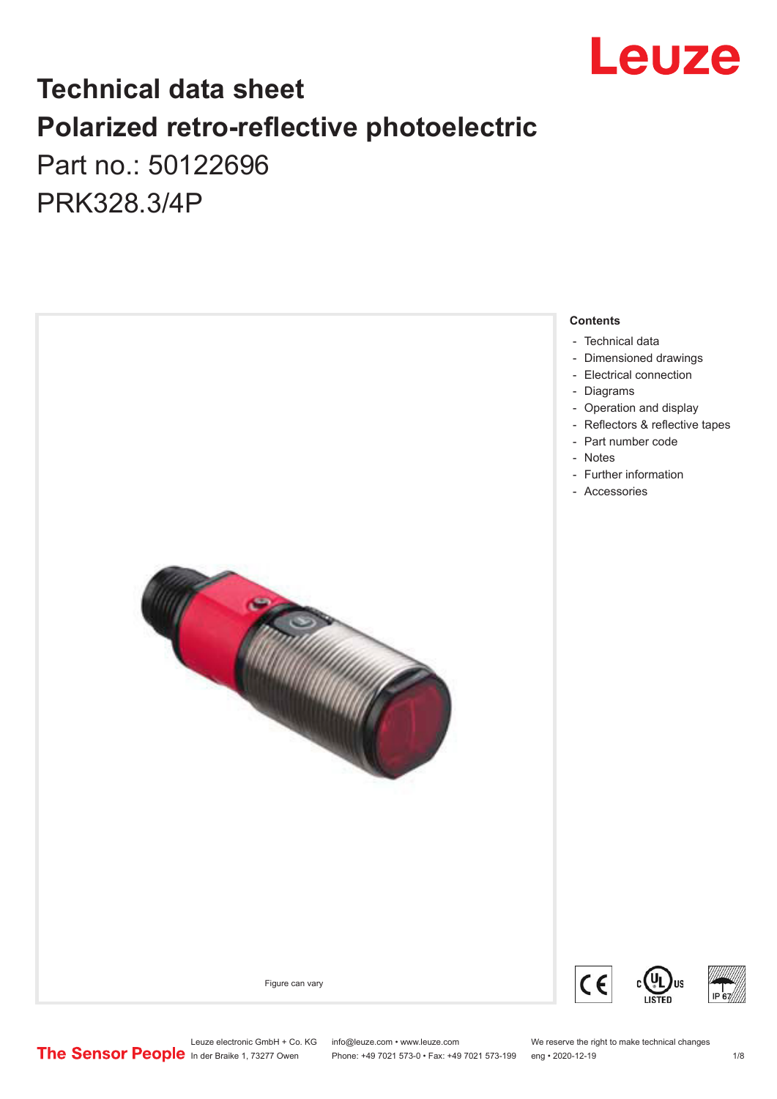

# **Technical data sheet Polarized retro-reflective photoelectric**  Part no.: 50122696

PRK328.3/4P

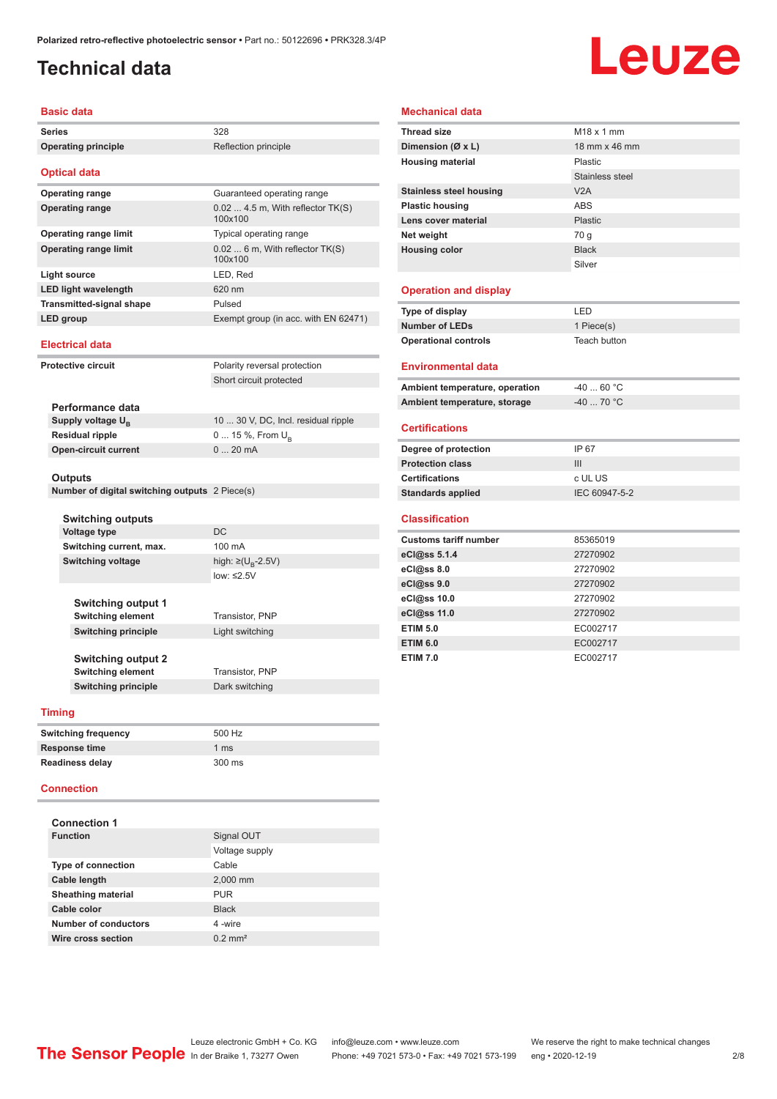#### <span id="page-1-0"></span>**Technical data**

# Leuze

#### **Basic data**

| Series                                                                              |                                                | 328                                           |  |
|-------------------------------------------------------------------------------------|------------------------------------------------|-----------------------------------------------|--|
|                                                                                     | <b>Operating principle</b>                     | Reflection principle                          |  |
|                                                                                     |                                                |                                               |  |
|                                                                                     | <b>Optical data</b>                            |                                               |  |
|                                                                                     | <b>Operating range</b>                         | Guaranteed operating range                    |  |
|                                                                                     | <b>Operating range</b>                         | $0.02$ 4.5 m, With reflector TK(S)<br>100x100 |  |
|                                                                                     | <b>Operating range limit</b>                   | Typical operating range                       |  |
|                                                                                     | <b>Operating range limit</b>                   | 0.02  6 m, With reflector TK(S)<br>100x100    |  |
|                                                                                     | <b>Light source</b>                            | LED, Red                                      |  |
|                                                                                     | <b>LED light wavelength</b>                    | 620 nm                                        |  |
|                                                                                     | <b>Transmitted-signal shape</b>                | Pulsed                                        |  |
|                                                                                     | LED group                                      | Exempt group (in acc. with EN 62471)          |  |
|                                                                                     | <b>Electrical data</b>                         |                                               |  |
|                                                                                     | <b>Protective circuit</b>                      | Polarity reversal protection                  |  |
|                                                                                     |                                                | Short circuit protected                       |  |
|                                                                                     |                                                |                                               |  |
|                                                                                     | Performance data                               |                                               |  |
|                                                                                     | Supply voltage U <sub>B</sub>                  | 10  30 V, DC, Incl. residual ripple           |  |
| <b>Residual ripple</b><br><b>Open-circuit current</b>                               |                                                | 0  15 %, From $U_{\rm B}$                     |  |
|                                                                                     |                                                | 020mA                                         |  |
|                                                                                     |                                                |                                               |  |
|                                                                                     | Outputs                                        |                                               |  |
|                                                                                     | Number of digital switching outputs 2 Piece(s) |                                               |  |
|                                                                                     | <b>Switching outputs</b>                       |                                               |  |
|                                                                                     | <b>Voltage type</b>                            | DC                                            |  |
|                                                                                     | Switching current, max.                        | 100 mA                                        |  |
|                                                                                     | <b>Switching voltage</b>                       | high: ≥(U <sub>n</sub> -2.5V)                 |  |
|                                                                                     |                                                | low: ≤2.5V                                    |  |
|                                                                                     |                                                |                                               |  |
|                                                                                     | <b>Switching output 1</b>                      |                                               |  |
|                                                                                     | <b>Switching element</b>                       | Transistor, PNP                               |  |
| <b>Switching principle</b><br><b>Switching output 2</b><br><b>Switching element</b> |                                                | Light switching                               |  |
|                                                                                     |                                                |                                               |  |
|                                                                                     |                                                |                                               |  |
|                                                                                     |                                                | Transistor, PNP                               |  |
|                                                                                     | <b>Switching principle</b>                     | Dark switching                                |  |
|                                                                                     | <b>Timing</b>                                  |                                               |  |
|                                                                                     |                                                |                                               |  |
|                                                                                     | <b>Switching frequency</b>                     | 500 Hz                                        |  |
|                                                                                     | <b>Response time</b>                           | 1 ms                                          |  |
|                                                                                     | <b>Readiness delay</b>                         | 300 ms                                        |  |
|                                                                                     |                                                |                                               |  |

#### **Connection**

| <b>Connection 1</b>         |                       |
|-----------------------------|-----------------------|
| <b>Function</b>             | Signal OUT            |
|                             | Voltage supply        |
| <b>Type of connection</b>   | Cable                 |
| Cable length                | 2,000 mm              |
| <b>Sheathing material</b>   | <b>PUR</b>            |
| Cable color                 | <b>Black</b>          |
| <b>Number of conductors</b> | 4-wire                |
| Wire cross section          | $0.2$ mm <sup>2</sup> |

#### **Mechanical data**

| <b>Thread size</b>             | $M18 \times 1$ mm |
|--------------------------------|-------------------|
| Dimension ( $\emptyset$ x L)   | 18 mm x 46 mm     |
| <b>Housing material</b>        | Plastic           |
|                                | Stainless steel   |
| <b>Stainless steel housing</b> | V2A               |
| <b>Plastic housing</b>         | <b>ABS</b>        |
| Lens cover material            | <b>Plastic</b>    |
| Net weight                     | 70 q              |
| <b>Housing color</b>           | <b>Black</b>      |
|                                | Silver            |
|                                |                   |
| <b>Operation and display</b>   |                   |
| Type of display                | LED               |
| <b>Number of LEDs</b>          | 1 Piece(s)        |
| <b>Operational controls</b>    | Teach button      |
|                                |                   |
| <b>Environmental data</b>      |                   |
| Ambient temperature, operation | $-40$ 60 °C       |
| Ambient temperature, storage   | $-4070$ °C        |
| <b>Certifications</b>          |                   |
|                                |                   |
| Degree of protection           | IP 67             |
| <b>Protection class</b>        | III               |
| <b>Certifications</b>          | c UL US           |
| <b>Standards applied</b>       | IEC 60947-5-2     |
| <b>Classification</b>          |                   |
|                                |                   |
| <b>Customs tariff number</b>   | 85365019          |
| eCl@ss 5.1.4                   | 27270902          |
| eCl@ss 8.0                     | 27270902          |
| eCl@ss 9.0                     | 27270902          |
| eCl@ss 10.0                    | 27270902          |
| eCl@ss 11.0                    | 27270902          |
| <b>ETIM 5.0</b>                | EC002717          |
| <b>ETIM 6.0</b>                | EC002717          |
| <b>ETIM 7.0</b>                | EC002717          |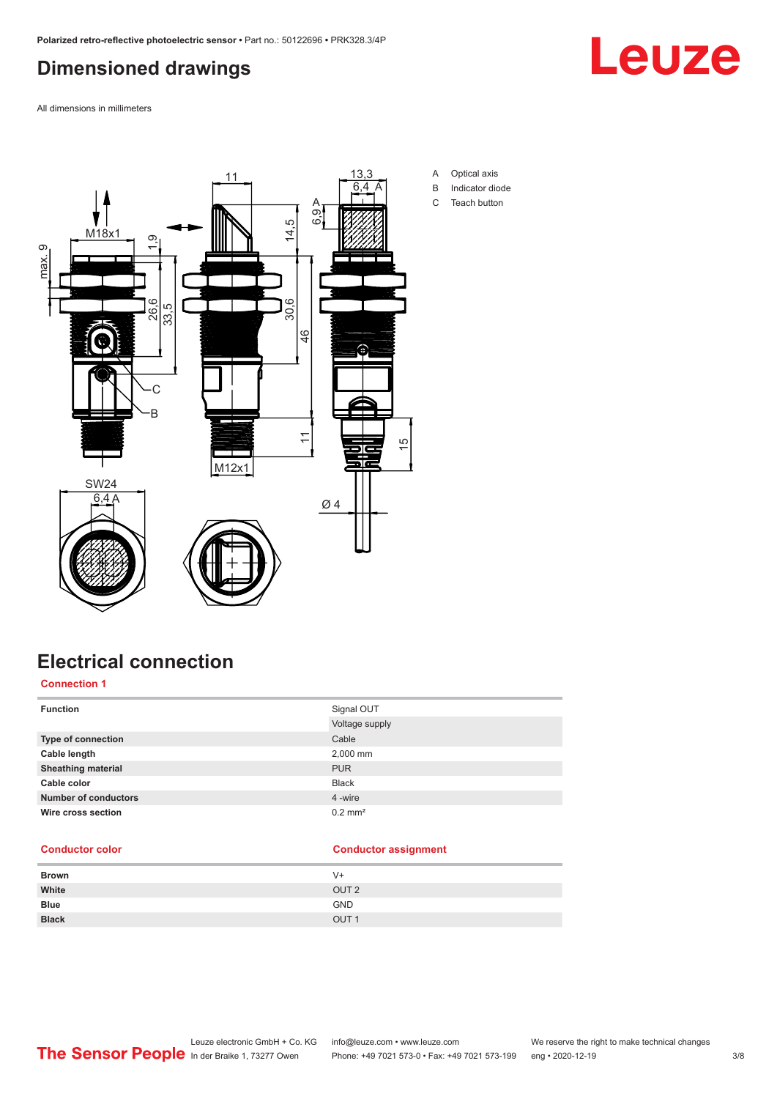### <span id="page-2-0"></span>**Dimensioned drawings**

Leuze

All dimensions in millimeters



# **Electrical connection**

#### **Connection 1**

| <b>Function</b>             | Signal OUT<br>Voltage supply |
|-----------------------------|------------------------------|
| <b>Type of connection</b>   | Cable                        |
| Cable length                | 2,000 mm                     |
| <b>Sheathing material</b>   | <b>PUR</b>                   |
| Cable color                 | <b>Black</b>                 |
| <b>Number of conductors</b> | 4 -wire                      |
| Wire cross section          | $0.2$ mm <sup>2</sup>        |

#### **Conductor color Conductor assignment**

| <b>Brown</b> | $V +$            |
|--------------|------------------|
| White        | OUT <sub>2</sub> |
| <b>Blue</b>  | <b>GND</b>       |
| <b>Black</b> | OUT <sub>1</sub> |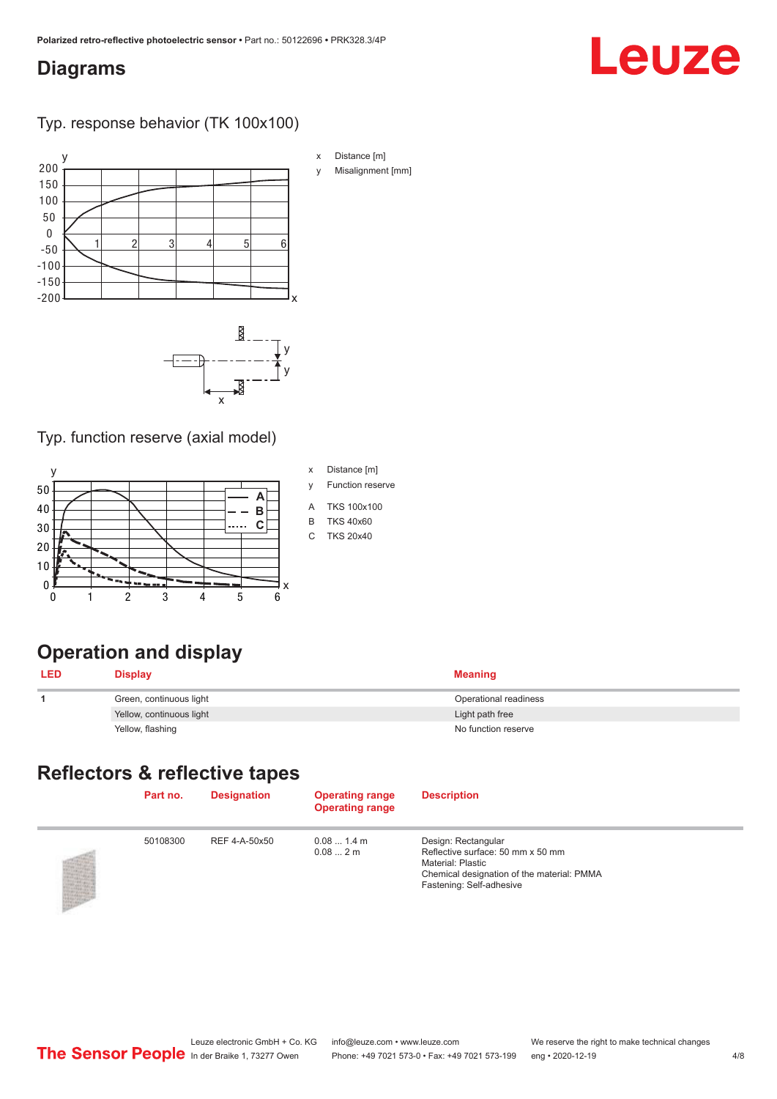#### <span id="page-3-0"></span>**Diagrams**

# Leuze

Typ. response behavior (TK 100x100)





#### Typ. function reserve (axial model)



- 
- y Function reserve
- A TKS 100x100
- B TKS 40x60
- C TKS 20x40

# **Operation and display**

| <b>LED</b> | Display                  | <b>Meaning</b>        |
|------------|--------------------------|-----------------------|
|            | Green, continuous light  | Operational readiness |
|            | Yellow, continuous light | Light path free       |
|            | Yellow, flashing         | No function reserve   |

### **Reflectors & reflective tapes**

| Part no. | <b>Designation</b> | <b>Operating range</b><br><b>Operating range</b> | <b>Description</b>                                                                                                                                             |
|----------|--------------------|--------------------------------------------------|----------------------------------------------------------------------------------------------------------------------------------------------------------------|
| 50108300 | REF 4-A-50x50      | 0.081.4 m<br>0.082m                              | Design: Rectangular<br>Reflective surface: 50 mm x 50 mm<br><b>Material: Plastic</b><br>Chemical designation of the material: PMMA<br>Fastening: Self-adhesive |

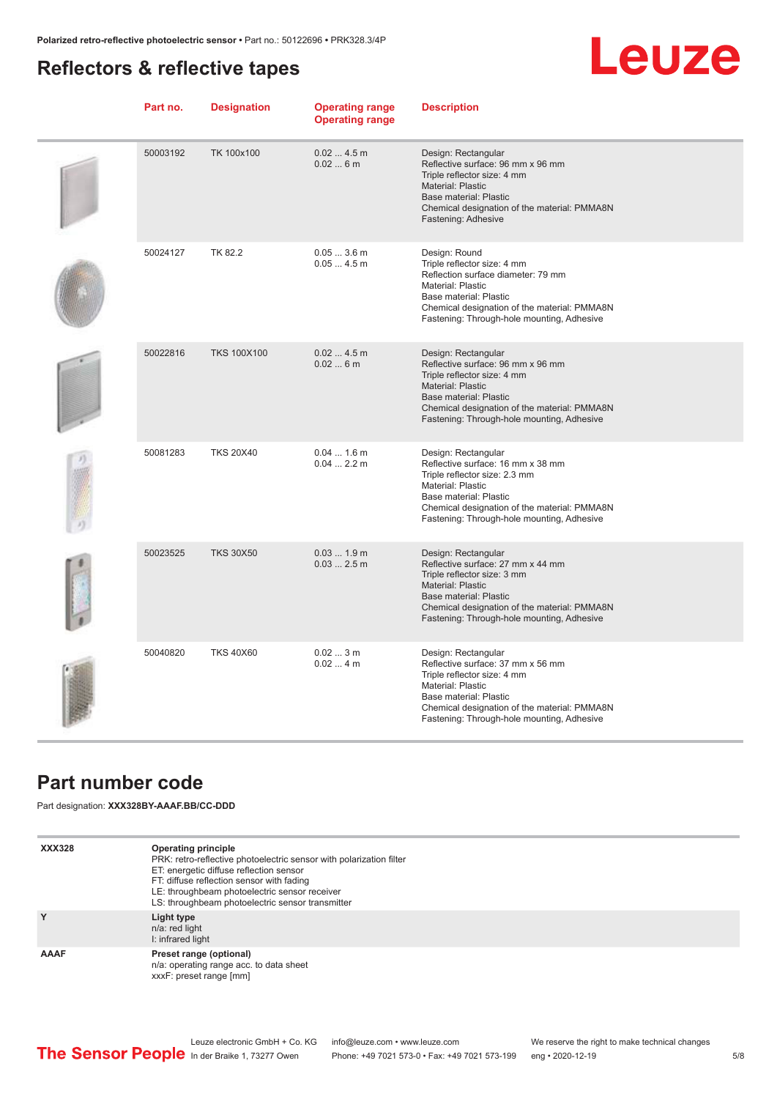### <span id="page-4-0"></span>**Reflectors & reflective tapes**

# Leuze

| Part no. | <b>Designation</b> | <b>Operating range</b><br><b>Operating range</b> | <b>Description</b>                                                                                                                                                                                                                                 |
|----------|--------------------|--------------------------------------------------|----------------------------------------------------------------------------------------------------------------------------------------------------------------------------------------------------------------------------------------------------|
| 50003192 | TK 100x100         | 0.024.5m<br>0.026m                               | Design: Rectangular<br>Reflective surface: 96 mm x 96 mm<br>Triple reflector size: 4 mm<br><b>Material: Plastic</b><br><b>Base material: Plastic</b><br>Chemical designation of the material: PMMA8N<br>Fastening: Adhesive                        |
| 50024127 | TK 82.2            | $0.053.6$ m<br>$0.054.5$ m                       | Design: Round<br>Triple reflector size: 4 mm<br>Reflection surface diameter: 79 mm<br>Material: Plastic<br>Base material: Plastic<br>Chemical designation of the material: PMMA8N<br>Fastening: Through-hole mounting, Adhesive                    |
| 50022816 | <b>TKS 100X100</b> | 0.024.5m<br>0.026m                               | Design: Rectangular<br>Reflective surface: 96 mm x 96 mm<br>Triple reflector size: 4 mm<br><b>Material: Plastic</b><br><b>Base material: Plastic</b><br>Chemical designation of the material: PMMA8N<br>Fastening: Through-hole mounting, Adhesive |
| 50081283 | <b>TKS 20X40</b>   | $0.041.6$ m<br>$0.042.2$ m                       | Design: Rectangular<br>Reflective surface: 16 mm x 38 mm<br>Triple reflector size: 2.3 mm<br><b>Material: Plastic</b><br>Base material: Plastic<br>Chemical designation of the material: PMMA8N<br>Fastening: Through-hole mounting, Adhesive      |
| 50023525 | <b>TKS 30X50</b>   | $0.031.9$ m<br>$0.032.5$ m                       | Design: Rectangular<br>Reflective surface: 27 mm x 44 mm<br>Triple reflector size: 3 mm<br><b>Material: Plastic</b><br>Base material: Plastic<br>Chemical designation of the material: PMMA8N<br>Fastening: Through-hole mounting, Adhesive        |
| 50040820 | <b>TKS 40X60</b>   | 0.023m<br>0.024m                                 | Design: Rectangular<br>Reflective surface: 37 mm x 56 mm<br>Triple reflector size: 4 mm<br>Material: Plastic<br>Base material: Plastic<br>Chemical designation of the material: PMMA8N<br>Fastening: Through-hole mounting, Adhesive               |

#### **Part number code**

Part designation: **XXX328BY-AAAF.BB/CC-DDD**

| <b>XXX328</b> | Operating principle<br>PRK: retro-reflective photoelectric sensor with polarization filter<br>ET: energetic diffuse reflection sensor<br>FT: diffuse reflection sensor with fading<br>LE: throughbeam photoelectric sensor receiver<br>LS: throughbeam photoelectric sensor transmitter |
|---------------|-----------------------------------------------------------------------------------------------------------------------------------------------------------------------------------------------------------------------------------------------------------------------------------------|
| Y             | Light type<br>n/a: red light<br>I: infrared light                                                                                                                                                                                                                                       |
| AAAF          | Preset range (optional)<br>n/a: operating range acc. to data sheet<br>xxxF: preset range [mm]                                                                                                                                                                                           |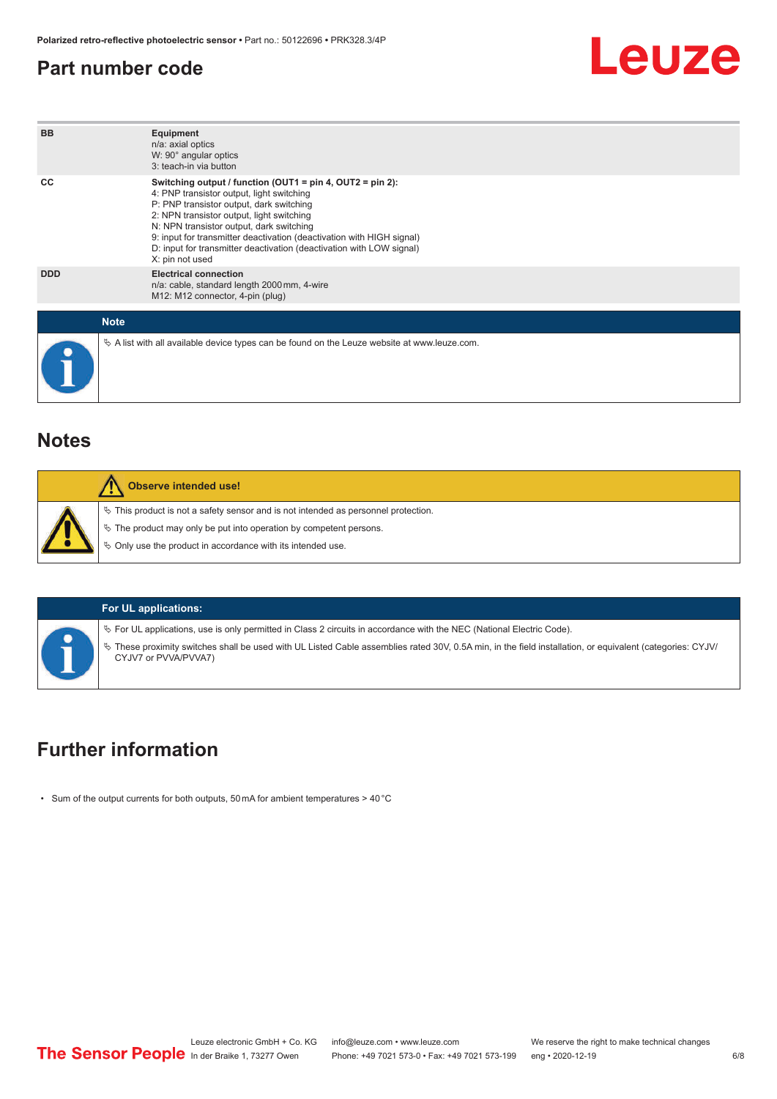#### <span id="page-5-0"></span>**Part number code**



#### **Notes**

| Observe intended use!                                                                                                                                                                                                            |
|----------------------------------------------------------------------------------------------------------------------------------------------------------------------------------------------------------------------------------|
| $\%$ This product is not a safety sensor and is not intended as personnel protection.<br>$\%$ The product may only be put into operation by competent persons.<br>$\%$ Only use the product in accordance with its intended use. |

#### **For UL applications:**

 $\%$  For UL applications, use is only permitted in Class 2 circuits in accordance with the NEC (National Electric Code).

ª These proximity switches shall be used with UL Listed Cable assemblies rated 30V, 0.5A min, in the field installation, or equivalent (categories: CYJV/ CYJV7 or PVVA/PVVA7)

#### **Further information**

• Sum of the output currents for both outputs, 50 mA for ambient temperatures > 40 °C

Leuze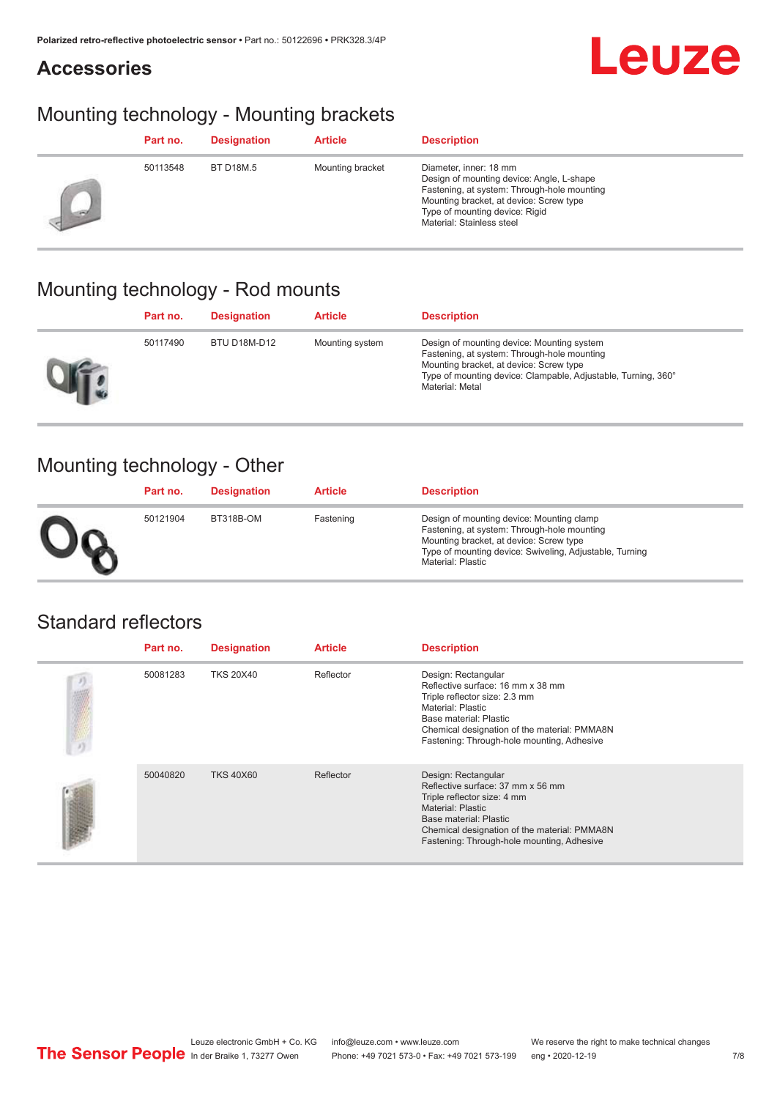#### **Accessories**



### Mounting technology - Mounting brackets

|    | Part no. | <b>Designation</b> | <b>Article</b>   | <b>Description</b>                                                                                                                                                                                                           |
|----|----------|--------------------|------------------|------------------------------------------------------------------------------------------------------------------------------------------------------------------------------------------------------------------------------|
| 46 | 50113548 | <b>BT D18M.5</b>   | Mounting bracket | Diameter, inner: 18 mm<br>Design of mounting device: Angle, L-shape<br>Fastening, at system: Through-hole mounting<br>Mounting bracket, at device: Screw type<br>Type of mounting device: Rigid<br>Material: Stainless steel |

### Mounting technology - Rod mounts

| Part no. | <b>Designation</b> | <b>Article</b>  | <b>Description</b>                                                                                                                                                                                                       |
|----------|--------------------|-----------------|--------------------------------------------------------------------------------------------------------------------------------------------------------------------------------------------------------------------------|
| 50117490 | BTU D18M-D12       | Mounting system | Design of mounting device: Mounting system<br>Fastening, at system: Through-hole mounting<br>Mounting bracket, at device: Screw type<br>Type of mounting device: Clampable, Adjustable, Turning, 360°<br>Material: Metal |

#### Mounting technology - Other

|              | Part no. | <b>Designation</b> | <b>Article</b> | <b>Description</b>                                                                                                                                                                                                         |
|--------------|----------|--------------------|----------------|----------------------------------------------------------------------------------------------------------------------------------------------------------------------------------------------------------------------------|
| $\mathbf{U}$ | 50121904 | BT318B-OM          | Fastening      | Design of mounting device: Mounting clamp<br>Fastening, at system: Through-hole mounting<br>Mounting bracket, at device: Screw type<br>Type of mounting device: Swiveling, Adjustable, Turning<br><b>Material: Plastic</b> |

#### Standard reflectors

|    | Part no. | <b>Designation</b> | <b>Article</b> | <b>Description</b>                                                                                                                                                                                                                     |
|----|----------|--------------------|----------------|----------------------------------------------------------------------------------------------------------------------------------------------------------------------------------------------------------------------------------------|
| の顔 | 50081283 | <b>TKS 20X40</b>   | Reflector      | Design: Rectangular<br>Reflective surface: 16 mm x 38 mm<br>Triple reflector size: 2.3 mm<br>Material: Plastic<br>Base material: Plastic<br>Chemical designation of the material: PMMA8N<br>Fastening: Through-hole mounting, Adhesive |
|    | 50040820 | <b>TKS 40X60</b>   | Reflector      | Design: Rectangular<br>Reflective surface: 37 mm x 56 mm<br>Triple reflector size: 4 mm<br>Material: Plastic<br>Base material: Plastic<br>Chemical designation of the material: PMMA8N<br>Fastening: Through-hole mounting, Adhesive   |